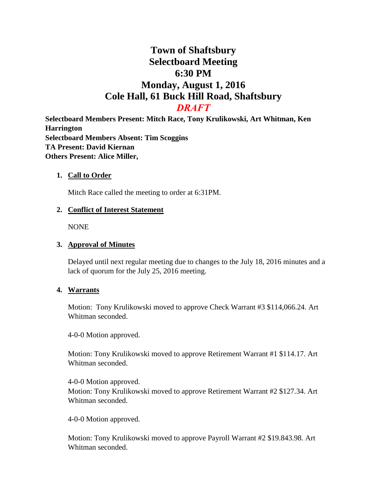# **Town of Shaftsbury Selectboard Meeting 6:30 PM Monday, August 1, 2016 Cole Hall, 61 Buck Hill Road, Shaftsbury** *DRAFT*

**Selectboard Members Present: Mitch Race, Tony Krulikowski, Art Whitman, Ken Harrington Selectboard Members Absent: Tim Scoggins TA Present: David Kiernan Others Present: Alice Miller,** 

## **1. Call to Order**

Mitch Race called the meeting to order at 6:31PM.

## **2. Conflict of Interest Statement**

NONE

#### **3. Approval of Minutes**

Delayed until next regular meeting due to changes to the July 18, 2016 minutes and a lack of quorum for the July 25, 2016 meeting.

### **4. Warrants**

Motion: Tony Krulikowski moved to approve Check Warrant #3 \$114,066.24. Art Whitman seconded.

4-0-0 Motion approved.

Motion: Tony Krulikowski moved to approve Retirement Warrant #1 \$114.17. Art Whitman seconded.

4-0-0 Motion approved. Motion: Tony Krulikowski moved to approve Retirement Warrant #2 \$127.34. Art Whitman seconded.

4-0-0 Motion approved.

Motion: Tony Krulikowski moved to approve Payroll Warrant #2 \$19.843.98. Art Whitman seconded.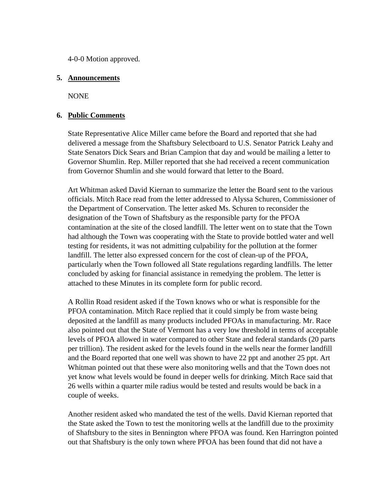4-0-0 Motion approved.

#### **5. Announcements**

NONE

## **6. Public Comments**

State Representative Alice Miller came before the Board and reported that she had delivered a message from the Shaftsbury Selectboard to U.S. Senator Patrick Leahy and State Senators Dick Sears and Brian Campion that day and would be mailing a letter to Governor Shumlin. Rep. Miller reported that she had received a recent communication from Governor Shumlin and she would forward that letter to the Board.

Art Whitman asked David Kiernan to summarize the letter the Board sent to the various officials. Mitch Race read from the letter addressed to Alyssa Schuren, Commissioner of the Department of Conservation. The letter asked Ms. Schuren to reconsider the designation of the Town of Shaftsbury as the responsible party for the PFOA contamination at the site of the closed landfill. The letter went on to state that the Town had although the Town was cooperating with the State to provide bottled water and well testing for residents, it was not admitting culpability for the pollution at the former landfill. The letter also expressed concern for the cost of clean-up of the PFOA, particularly when the Town followed all State regulations regarding landfills. The letter concluded by asking for financial assistance in remedying the problem. The letter is attached to these Minutes in its complete form for public record.

A Rollin Road resident asked if the Town knows who or what is responsible for the PFOA contamination. Mitch Race replied that it could simply be from waste being deposited at the landfill as many products included PFOAs in manufacturing. Mr. Race also pointed out that the State of Vermont has a very low threshold in terms of acceptable levels of PFOA allowed in water compared to other State and federal standards (20 parts per trillion). The resident asked for the levels found in the wells near the former landfill and the Board reported that one well was shown to have 22 ppt and another 25 ppt. Art Whitman pointed out that these were also monitoring wells and that the Town does not yet know what levels would be found in deeper wells for drinking. Mitch Race said that 26 wells within a quarter mile radius would be tested and results would be back in a couple of weeks.

Another resident asked who mandated the test of the wells. David Kiernan reported that the State asked the Town to test the monitoring wells at the landfill due to the proximity of Shaftsbury to the sites in Bennington where PFOA was found. Ken Harrington pointed out that Shaftsbury is the only town where PFOA has been found that did not have a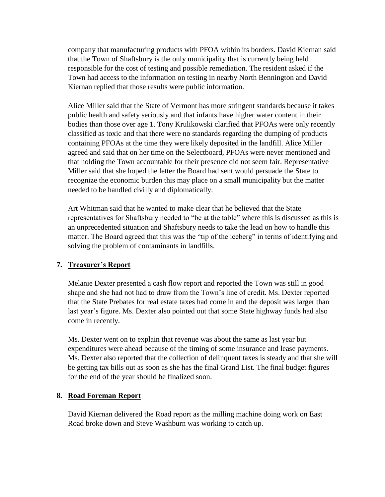company that manufacturing products with PFOA within its borders. David Kiernan said that the Town of Shaftsbury is the only municipality that is currently being held responsible for the cost of testing and possible remediation. The resident asked if the Town had access to the information on testing in nearby North Bennington and David Kiernan replied that those results were public information.

Alice Miller said that the State of Vermont has more stringent standards because it takes public health and safety seriously and that infants have higher water content in their bodies than those over age 1. Tony Krulikowski clarified that PFOAs were only recently classified as toxic and that there were no standards regarding the dumping of products containing PFOAs at the time they were likely deposited in the landfill. Alice Miller agreed and said that on her time on the Selectboard, PFOAs were never mentioned and that holding the Town accountable for their presence did not seem fair. Representative Miller said that she hoped the letter the Board had sent would persuade the State to recognize the economic burden this may place on a small municipality but the matter needed to be handled civilly and diplomatically.

Art Whitman said that he wanted to make clear that he believed that the State representatives for Shaftsbury needed to "be at the table" where this is discussed as this is an unprecedented situation and Shaftsbury needs to take the lead on how to handle this matter. The Board agreed that this was the "tip of the iceberg" in terms of identifying and solving the problem of contaminants in landfills.

# **7. Treasurer's Report**

Melanie Dexter presented a cash flow report and reported the Town was still in good shape and she had not had to draw from the Town's line of credit. Ms. Dexter reported that the State Prebates for real estate taxes had come in and the deposit was larger than last year's figure. Ms. Dexter also pointed out that some State highway funds had also come in recently.

Ms. Dexter went on to explain that revenue was about the same as last year but expenditures were ahead because of the timing of some insurance and lease payments. Ms. Dexter also reported that the collection of delinquent taxes is steady and that she will be getting tax bills out as soon as she has the final Grand List. The final budget figures for the end of the year should be finalized soon.

# **8. Road Foreman Report**

David Kiernan delivered the Road report as the milling machine doing work on East Road broke down and Steve Washburn was working to catch up.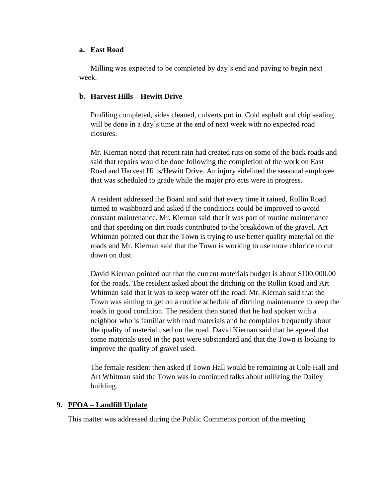#### **a. East Road**

Milling was expected to be completed by day's end and paving to begin next week.

# **b. Harvest Hills – Hewitt Drive**

Profiling completed, sides cleaned, culverts put in. Cold asphalt and chip sealing will be done in a day's time at the end of next week with no expected road closures.

Mr. Kiernan noted that recent rain had created ruts on some of the back roads and said that repairs would be done following the completion of the work on East Road and Harvest Hills/Hewitt Drive. An injury sidelined the seasonal employee that was scheduled to grade while the major projects were in progress.

A resident addressed the Board and said that every time it rained, Rollin Road turned to washboard and asked if the conditions could be improved to avoid constant maintenance. Mr. Kiernan said that it was part of routine maintenance and that speeding on dirt roads contributed to the breakdown of the gravel. Art Whitman pointed out that the Town is trying to use better quality material on the roads and Mr. Kiernan said that the Town is working to use more chloride to cut down on dust.

David Kiernan pointed out that the current materials budget is about \$100,000.00 for the roads. The resident asked about the ditching on the Rollin Road and Art Whitman said that it was to keep water off the road. Mr. Kiernan said that the Town was aiming to get on a routine schedule of ditching maintenance to keep the roads in good condition. The resident then stated that he had spoken with a neighbor who is familiar with road materials and he complains frequently about the quality of material used on the road. David Kiernan said that he agreed that some materials used in the past were substandard and that the Town is looking to improve the quality of gravel used.

The female resident then asked if Town Hall would be remaining at Cole Hall and Art Whitman said the Town was in continued talks about utilizing the Dailey building.

# **9. PFOA – Landfill Update**

This matter was addressed during the Public Comments portion of the meeting.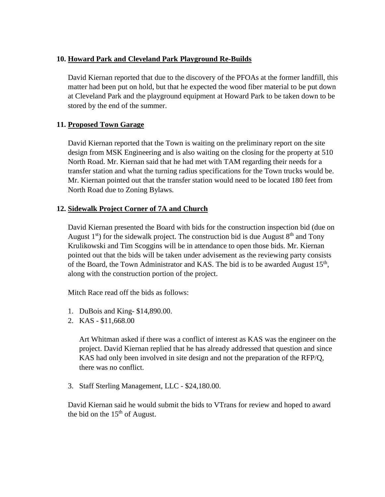# **10. Howard Park and Cleveland Park Playground Re-Builds**

David Kiernan reported that due to the discovery of the PFOAs at the former landfill, this matter had been put on hold, but that he expected the wood fiber material to be put down at Cleveland Park and the playground equipment at Howard Park to be taken down to be stored by the end of the summer.

# **11. Proposed Town Garage**

David Kiernan reported that the Town is waiting on the preliminary report on the site design from MSK Engineering and is also waiting on the closing for the property at 510 North Road. Mr. Kiernan said that he had met with TAM regarding their needs for a transfer station and what the turning radius specifications for the Town trucks would be. Mr. Kiernan pointed out that the transfer station would need to be located 180 feet from North Road due to Zoning Bylaws.

# **12. Sidewalk Project Corner of 7A and Church**

David Kiernan presented the Board with bids for the construction inspection bid (due on August  $1<sup>st</sup>$ ) for the sidewalk project. The construction bid is due August  $8<sup>th</sup>$  and Tony Krulikowski and Tim Scoggins will be in attendance to open those bids. Mr. Kiernan pointed out that the bids will be taken under advisement as the reviewing party consists of the Board, the Town Administrator and KAS. The bid is to be awarded August  $15<sup>th</sup>$ , along with the construction portion of the project.

Mitch Race read off the bids as follows:

- 1. DuBois and King- \$14,890.00.
- 2. KAS \$11,668.00

Art Whitman asked if there was a conflict of interest as KAS was the engineer on the project. David Kiernan replied that he has already addressed that question and since KAS had only been involved in site design and not the preparation of the RFP/Q, there was no conflict.

3. Staff Sterling Management, LLC - \$24,180.00.

David Kiernan said he would submit the bids to VTrans for review and hoped to award the bid on the  $15<sup>th</sup>$  of August.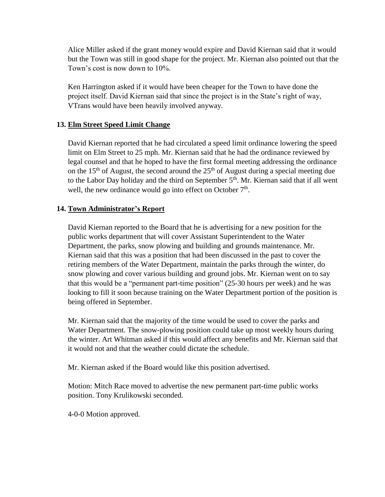Alice Miller asked if the grant money would expire and David Kiernan said that it would but the Town was still in good shape for the project. Mr. Kiernan also pointed out that the Town's cost is now down to 10%.

Ken Harrington asked if it would have been cheaper for the Town to have done the project itself. David Kiernan said that since the project is in the State's right of way, VTrans would have been heavily involved anyway.

# **13. Elm Street Speed Limit Change**

David Kiernan reported that he had circulated a speed limit ordinance lowering the speed limit on Elm Street to 25 mph. Mr. Kiernan said that he had the ordinance reviewed by legal counsel and that he hoped to have the first formal meeting addressing the ordinance on the 15<sup>th</sup> of August, the second around the  $25<sup>th</sup>$  of August during a special meeting due to the Labor Day holiday and the third on September 5<sup>th</sup>. Mr. Kiernan said that if all went well, the new ordinance would go into effect on October 7<sup>th</sup>.

# **14. Town Administrator's Report**

David Kiernan reported to the Board that he is advertising for a new position for the public works department that will cover Assistant Superintendent to the Water Department, the parks, snow plowing and building and grounds maintenance. Mr. Kiernan said that this was a position that had been discussed in the past to cover the retiring members of the Water Department, maintain the parks through the winter, do snow plowing and cover various building and ground jobs. Mr. Kiernan went on to say that this would be a "permanent part-time position" (25-30 hours per week) and he was looking to fill it soon because training on the Water Department portion of the position is being offered in September.

Mr. Kiernan said that the majority of the time would be used to cover the parks and Water Department. The snow-plowing position could take up most weekly hours during the winter. Art Whitman asked if this would affect any benefits and Mr. Kiernan said that it would not and that the weather could dictate the schedule.

Mr. Kiernan asked if the Board would like this position advertised.

Motion: Mitch Race moved to advertise the new permanent part-time public works position. Tony Krulikowski seconded.

4-0-0 Motion approved.